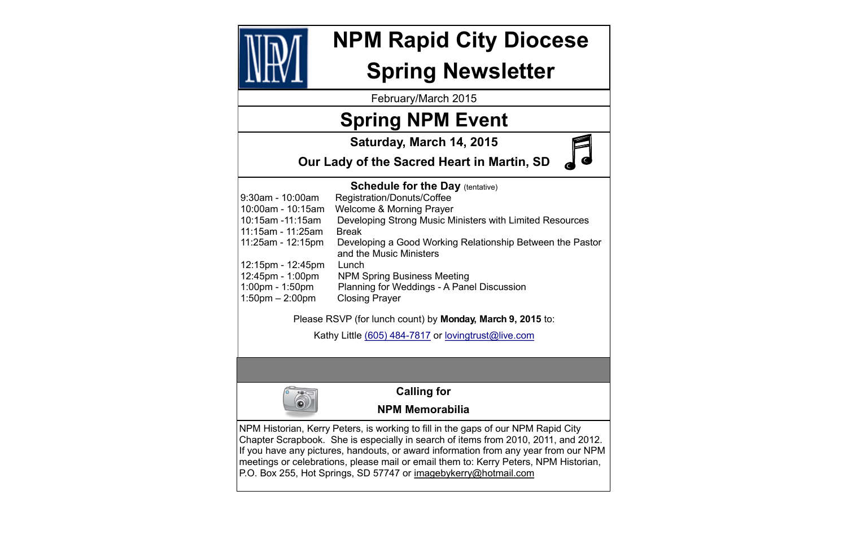February/March 2015



# **NPM Rapid City Diocese**

## **Spring Newsletter**

## **Spring NPM Event**

## **Schedule for the Day (tentative)** 9:30am - 10:00am Registration/Donuts/Coffee 10:00am - 10:15am Welcome & Morning Prayer 10:15am -11:15am Developing Strong Music Ministers with Limited Resources 11:15am - 11:25am Break 11:25am - 12:15pm Developing a Good Working Relationship Between the Pastor and the Music Ministers 12:15pm - 12:45pm Lunch 12:45pm - 1:00pm NPM Spring Business Meeting 1:00pm - 1:50pm Planning for Weddings - A Panel Discussion 1:50pm – 2:00pm Closing Prayer Please RSVP (for lunch count) by **Monday, March 9, 2015** to:

Kathy Little (605) 484-7817 or [lovingtrust@live.com](mailto:lovingtrust@live.com)



**Saturday, March 14, 2015**

**Our Lady of the Sacred Heart in Martin, SD**

**Calling for** 

## **NPM Memorabilia**

NPM Historian, Kerry Peters, is working to fill in the gaps of our NPM Rapid City Chapter Scrapbook. She is especially in search of items from 2010, 2011, and 2012. If you have any pictures, handouts, or award information from any year from our NPM meetings or celebrations, please mail or email them to: Kerry Peters, NPM Historian, P.O. Box 255, Hot Springs, SD 57747 or imagebykerry@hotmail.com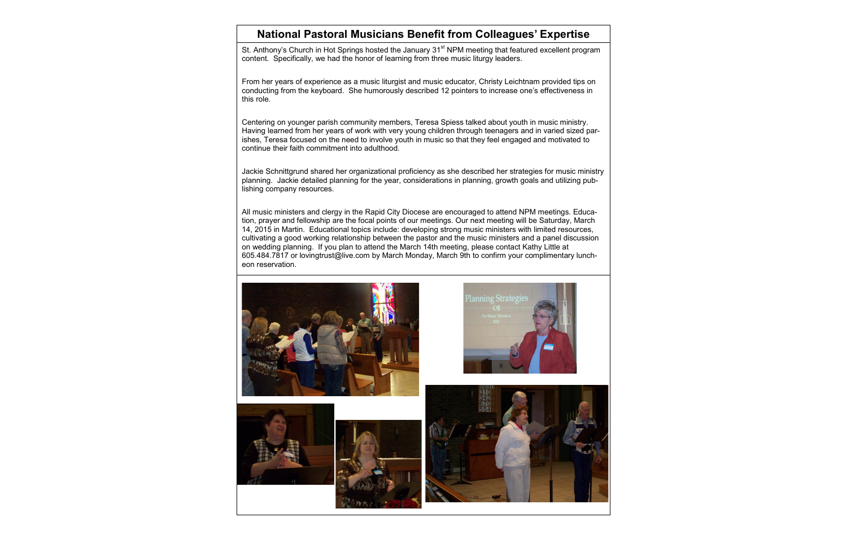St. Anthony's Church in Hot Springs hosted the January 31<sup>st</sup> NPM meeting that featured excellent program content. Specifically, we had the honor of learning from three music liturgy leaders.

From her years of experience as a music liturgist and music educator, Christy Leichtnam provided tips on conducting from the keyboard. She humorously described 12 pointers to increase one's effectiveness in this role.

Centering on younger parish community members, Teresa Spiess talked about youth in music ministry. Having learned from her years of work with very young children through teenagers and in varied sized parishes, Teresa focused on the need to involve youth in music so that they feel engaged and motivated to continue their faith commitment into adulthood.

Jackie Schnittgrund shared her organizational proficiency as she described her strategies for music ministry planning. Jackie detailed planning for the year, considerations in planning, growth goals and utilizing publishing company resources.

All music ministers and clergy in the Rapid City Diocese are encouraged to attend NPM meetings. Education, prayer and fellowship are the focal points of our meetings. Our next meeting will be Saturday, March 14, 2015 in Martin. Educational topics include: developing strong music ministers with limited resources, cultivating a good working relationship between the pastor and the music ministers and a panel discussion on wedding planning. If you plan to attend the March 14th meeting, please contact Kathy Little at 605.484.7817 or [lovingtrust@live.com](mailto:lovingtrust@live.com) by March Monday, March 9th to confirm your complimentary luncheon reservation.











### **National Pastoral Musicians Benefit from Colleagues' Expertise**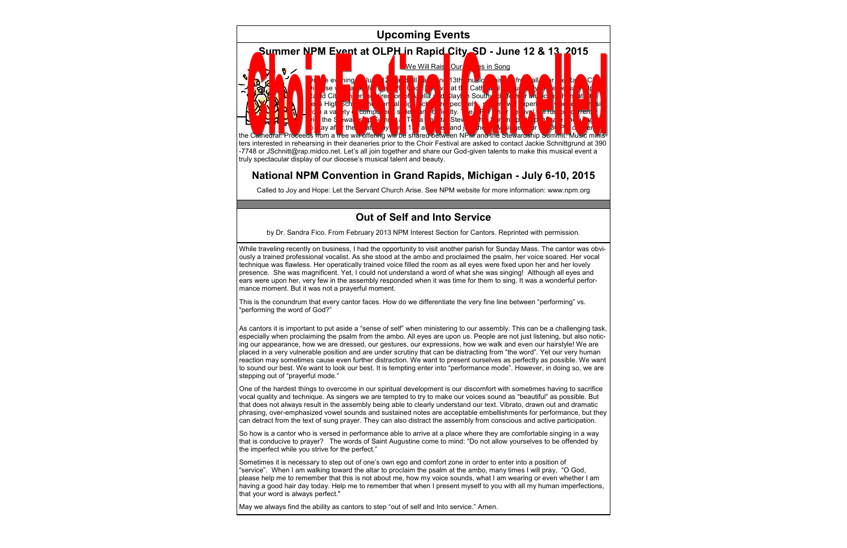While traveling recently on business, I had the opportunity to visit another parish for Sunday Mass. The cantor was obviously a trained professional vocalist. As she stood at the ambo and proclaimed the psalm, her voice soared. Her vocal technique was flawless. Her operatically trained voice filled the room as all eyes were fixed upon her and her lovely presence. She was magnificent. Yet, I could not understand a word of what she was singing! Although all eyes and ears were upon her, very few in the assembly responded when it was time for them to sing. It was a wonderful performance moment. But it was not a prayerful moment.

This is the conundrum that every cantor faces. How do we differentiate the very fine line between "performing" vs. "performing the word of God?"

As cantors it is important to put aside a "sense of self" when ministering to our assembly. This can be a challenging task, especially when proclaiming the psalm from the ambo. All eyes are upon us. People are not just listening, but also noticing our appearance, how we are dressed, our gestures, our expressions, how we walk and even our hairstyle! We are placed in a very vulnerable position and are under scrutiny that can be distracting from "the word". Yet our very human reaction may sometimes cause even further distraction. We want to present ourselves as perfectly as possible. We want to sound our best. We want to look our best. It is tempting enter into "performance mode". However, in doing so, we are stepping out of "prayerful mode."

One of the hardest things to overcome in our spiritual development is our discomfort with sometimes having to sacrifice vocal quality and technique. As singers we are tempted to try to make our voices sound as "beautiful" as possible. But that does not always result in the assembly being able to clearly understand our text. Vibrato, drawn out and dramatic phrasing, over-emphasized vowel sounds and sustained notes are acceptable embellishments for performance, but they can detract from the text of sung prayer. They can also distract the assembly from conscious and active participation.

So how is a cantor who is versed in performance able to arrive at a place where they are comfortable singing in a way that is conducive to prayer? The words of Saint Augustine come to mind: "Do not allow yourselves to be offended by the imperfect while you strive for the perfect."

Sometimes it is necessary to step out of one's own ego and comfort zone in order to enter into a position of "service". When I am walking toward the altar to proclaim the psalm at the ambo, many times I will pray, "O God, please help me to remember that this is not about me, how my voice sounds, what I am wearing or even whether I am having a good hair day today. Help me to remember that when I present myself to you with all my human imperfections, that your word is always perfect."

May we always find the ability as cantors to step "out of self and Into service." Amen.

## **Upcoming Events**



ters interested in rehearsing in their deaneries prior to the Choir Festival are asked to contact Jackie Schnittgrund at 390 -7748 or JSchnitt@rap.midco.net. Let's all join together and share our God-given talents to make this musical event a truly spectacular display of our diocese's musical talent and beauty.

#### **National NPM Convention in Grand Rapids, Michigan - July 6-10, 2015**

Called to Joy and Hope: Let the Servant Church Arise. See NPM website for more information: www.npm.org

### **Out of Self and Into Service**

by Dr. Sandra Fico. From February 2013 NPM Interest Section for Cantors. Reprinted with permission.